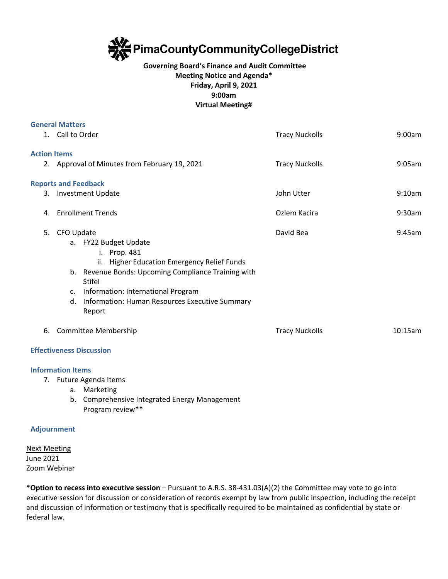

## **Governing Board's Finance and Audit Committee Meeting Notice and Agenda\* Friday, April 9, 2021 9:00am Virtual Meeting#**

|                     | <b>General Matters</b>                                                                                                                                                                                                                                                                   |                       |         |
|---------------------|------------------------------------------------------------------------------------------------------------------------------------------------------------------------------------------------------------------------------------------------------------------------------------------|-----------------------|---------|
|                     | 1. Call to Order                                                                                                                                                                                                                                                                         | <b>Tracy Nuckolls</b> | 9:00am  |
| <b>Action Items</b> |                                                                                                                                                                                                                                                                                          |                       |         |
|                     | 2. Approval of Minutes from February 19, 2021                                                                                                                                                                                                                                            | <b>Tracy Nuckolls</b> | 9:05am  |
|                     | <b>Reports and Feedback</b>                                                                                                                                                                                                                                                              |                       |         |
|                     | 3. Investment Update                                                                                                                                                                                                                                                                     | John Utter            | 9:10am  |
| 4.                  | <b>Enrollment Trends</b>                                                                                                                                                                                                                                                                 | Ozlem Kacira          | 9:30am  |
| 5.                  | CFO Update<br>a. FY22 Budget Update<br>i. Prop. 481<br>ii. Higher Education Emergency Relief Funds<br>b. Revenue Bonds: Upcoming Compliance Training with<br><b>Stifel</b><br>Information: International Program<br>c.<br>Information: Human Resources Executive Summary<br>d.<br>Report | David Bea             | 9:45am  |
| 6.                  | <b>Committee Membership</b>                                                                                                                                                                                                                                                              | <b>Tracy Nuckolls</b> | 10:15am |
|                     | <b>Effectiveness Discussion</b>                                                                                                                                                                                                                                                          |                       |         |
| 7.                  | <b>Information Items</b><br>Future Agenda Items<br>a. Marketing                                                                                                                                                                                                                          |                       |         |

b. Comprehensive Integrated Energy Management Program review\*\*

## **Adjournment**

Next Meeting June 2021 Zoom Webinar

\***Option to recess into executive session** – Pursuant to A.R.S. 38-431.03(A)(2) the Committee may vote to go into executive session for discussion or consideration of records exempt by law from public inspection, including the receipt and discussion of information or testimony that is specifically required to be maintained as confidential by state or federal law.